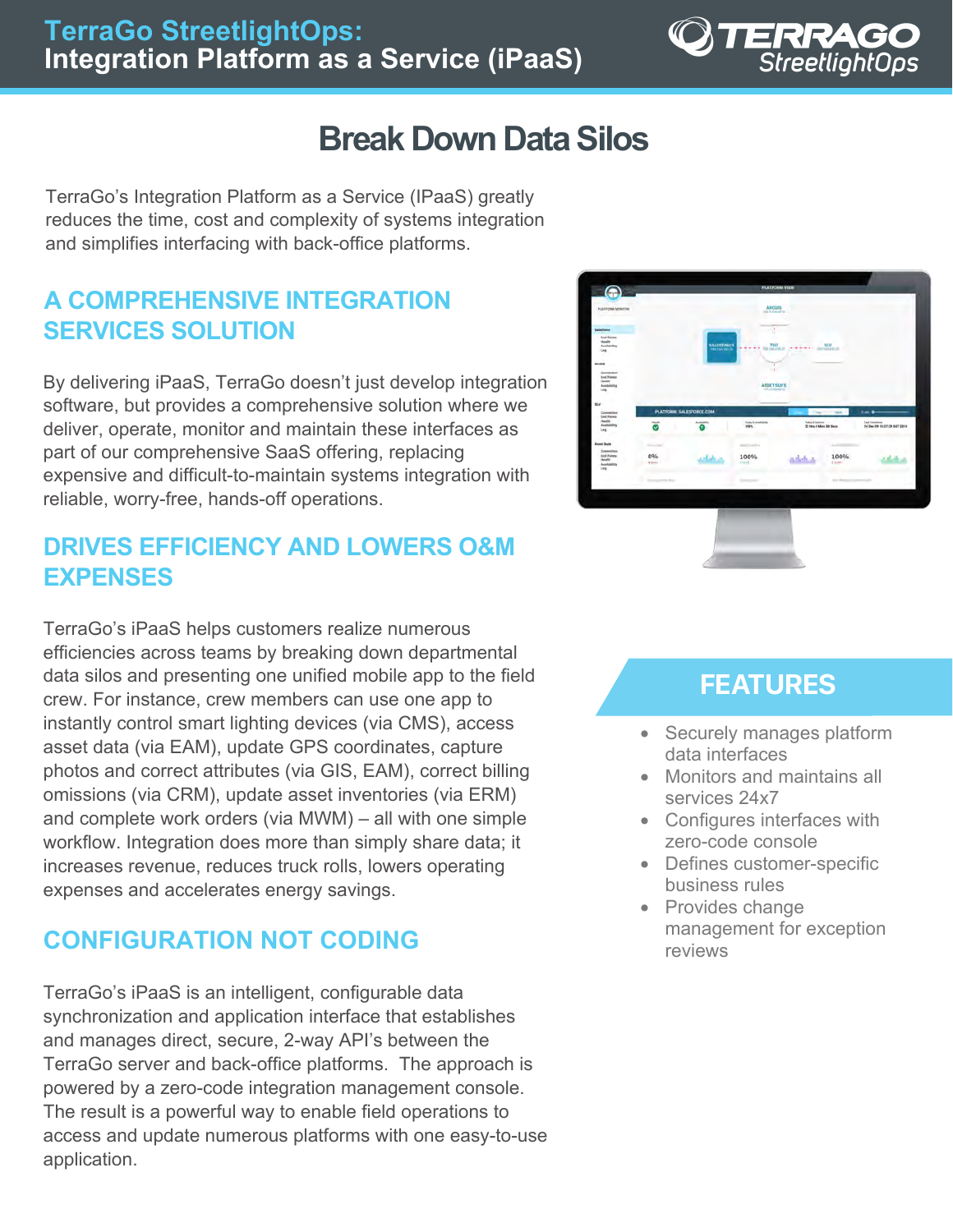

# **Break Down Data Silos**

TerraGo's Integration Platform as a Service (IPaaS) greatly reduces the time, cost and complexity of systems integration and simplifies interfacing with back-office platforms.

## **A COMPREHENSIVE INTEGRATION SERVICES SOLUTION**

By delivering iPaaS, TerraGo doesn't just develop integration software, but provides a comprehensive solution where we deliver, operate, monitor and maintain these interfaces as part of our comprehensive SaaS offering, replacing expensive and difficult-to-maintain systems integration with reliable, worry-free, hands-off operations.

### **DRIVES EFFICIENCY AND LOWERS O&M EXPENSES**

TerraGo's iPaaS helps customers realize numerous efficiencies across teams by breaking down departmental data silos and presenting one unified mobile app to the field crew. For instance, crew members can use one app to instantly control smart lighting devices (via CMS), access asset data (via EAM), update GPS coordinates, capture photos and correct attributes (via GIS, EAM), correct billing omissions (via CRM), update asset inventories (via ERM) and complete work orders (via MWM) – all with one simple workflow. Integration does more than simply share data; it increases revenue, reduces truck rolls, lowers operating expenses and accelerates energy savings.

## **CONFIGURATION NOT CODING**

TerraGo's iPaaS is an intelligent, configurable data synchronization and application interface that establishes and manages direct, secure, 2-way API's between the TerraGo server and back-office platforms. The approach is powered by a zero-code integration management console. The result is a powerful way to enable field operations to access and update numerous platforms with one easy-to-use application.



## **FEATURES**

- Securely manages platform data interfaces
- Monitors and maintains all services 24x7
- Configures interfaces with zero-code console
- Defines customer-specific business rules
- Provides change management for exception reviews